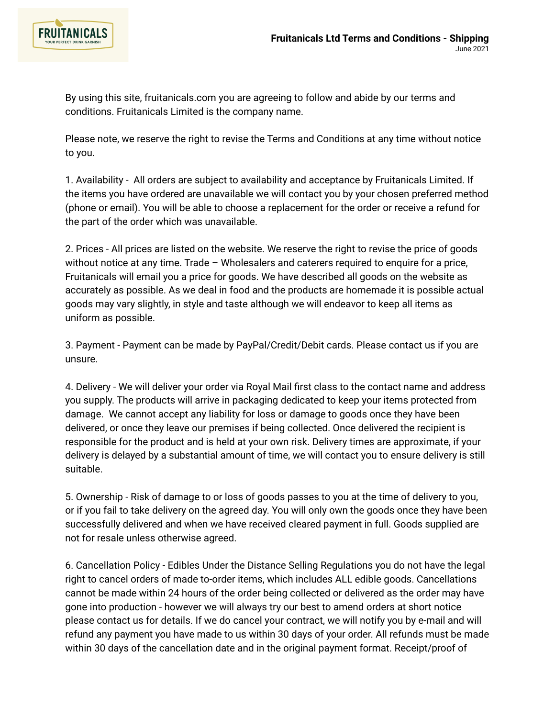

By using this site, fruitanicals.com you are agreeing to follow and abide by our terms and conditions. Fruitanicals Limited is the company name.

Please note, we reserve the right to revise the Terms and Conditions at any time without notice to you.

1. Availability - All orders are subject to availability and acceptance by Fruitanicals Limited. If the items you have ordered are unavailable we will contact you by your chosen preferred method (phone or email). You will be able to choose a replacement for the order or receive a refund for the part of the order which was unavailable.

2. Prices - All prices are listed on the website. We reserve the right to revise the price of goods without notice at any time. Trade – Wholesalers and caterers required to enquire for a price, Fruitanicals will email you a price for goods. We have described all goods on the website as accurately as possible. As we deal in food and the products are homemade it is possible actual goods may vary slightly, in style and taste although we will endeavor to keep all items as uniform as possible.

3. Payment - Payment can be made by PayPal/Credit/Debit cards. Please contact us if you are unsure.

4. Delivery - We will deliver your order via Royal Mail first class to the contact name and address you supply. The products will arrive in packaging dedicated to keep your items protected from damage. We cannot accept any liability for loss or damage to goods once they have been delivered, or once they leave our premises if being collected. Once delivered the recipient is responsible for the product and is held at your own risk. Delivery times are approximate, if your delivery is delayed by a substantial amount of time, we will contact you to ensure delivery is still suitable.

5. Ownership - Risk of damage to or loss of goods passes to you at the time of delivery to you, or if you fail to take delivery on the agreed day. You will only own the goods once they have been successfully delivered and when we have received cleared payment in full. Goods supplied are not for resale unless otherwise agreed.

6. Cancellation Policy - Edibles Under the Distance Selling Regulations you do not have the legal right to cancel orders of made to-order items, which includes ALL edible goods. Cancellations cannot be made within 24 hours of the order being collected or delivered as the order may have gone into production - however we will always try our best to amend orders at short notice please contact us for details. If we do cancel your contract, we will notify you by e-mail and will refund any payment you have made to us within 30 days of your order. All refunds must be made within 30 days of the cancellation date and in the original payment format. Receipt/proof of